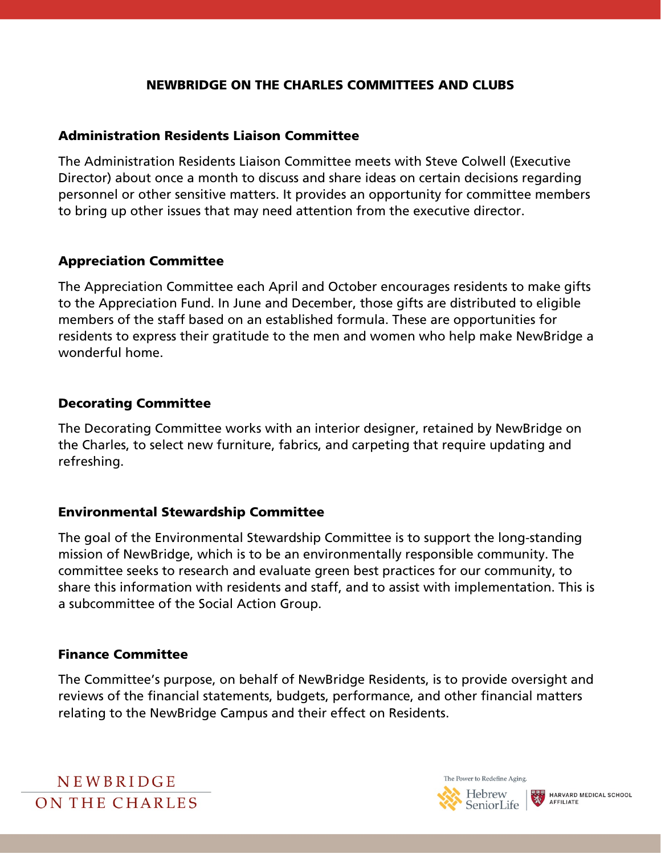#### NEWBRIDGE ON THE CHARLES COMMITTEES AND CLUBS

#### Administration Residents Liaison Committee

The Administration Residents Liaison Committee meets with Steve Colwell (Executive Director) about once a month to discuss and share ideas on certain decisions regarding personnel or other sensitive matters. It provides an opportunity for committee members to bring up other issues that may need attention from the executive director.

#### Appreciation Committee

The Appreciation Committee each April and October encourages residents to make gifts to the Appreciation Fund. In June and December, those gifts are distributed to eligible members of the staff based on an established formula. These are opportunities for residents to express their gratitude to the men and women who help make NewBridge a wonderful home.

#### Decorating Committee

The Decorating Committee works with an interior designer, retained by NewBridge on the Charles, to select new furniture, fabrics, and carpeting that require updating and refreshing.

#### Environmental Stewardship Committee

The goal of the Environmental Stewardship Committee is to support the long-standing mission of NewBridge, which is to be an environmentally responsible community. The committee seeks to research and evaluate green best practices for our community, to share this information with residents and staff, and to assist with implementation. This is a subcommittee of the Social Action Group.

#### Finance Committee

The Committee's purpose, on behalf of NewBridge Residents, is to provide oversight and reviews of the financial statements, budgets, performance, and other financial matters relating to the NewBridge Campus and their effect on Residents.



The Power to Redefine Aging.

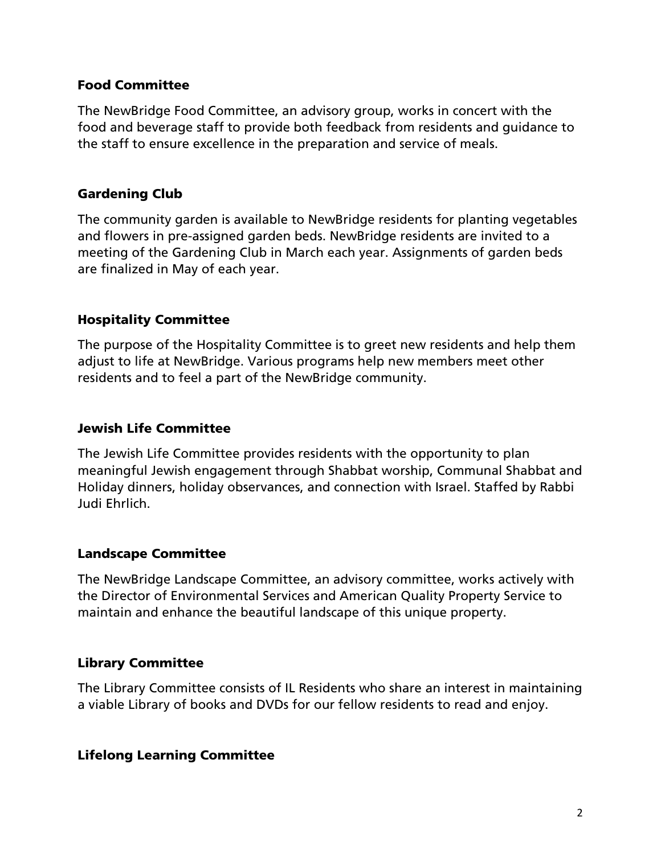## Food Committee

The NewBridge Food Committee, an advisory group, works in concert with the food and beverage staff to provide both feedback from residents and guidance to the staff to ensure excellence in the preparation and service of meals.

# Gardening Club

The community garden is available to NewBridge residents for planting vegetables and flowers in pre-assigned garden beds. NewBridge residents are invited to a meeting of the Gardening Club in March each year. Assignments of garden beds are finalized in May of each year.

# Hospitality Committee

The purpose of the Hospitality Committee is to greet new residents and help them adjust to life at NewBridge. Various programs help new members meet other residents and to feel a part of the NewBridge community.

## Jewish Life Committee

The Jewish Life Committee provides residents with the opportunity to plan meaningful Jewish engagement through Shabbat worship, Communal Shabbat and Holiday dinners, holiday observances, and connection with Israel. Staffed by Rabbi Judi Ehrlich.

## Landscape Committee

The NewBridge Landscape Committee, an advisory committee, works actively with the Director of Environmental Services and American Quality Property Service to maintain and enhance the beautiful landscape of this unique property.

## Library Committee

The Library Committee consists of IL Residents who share an interest in maintaining a viable Library of books and DVDs for our fellow residents to read and enjoy.

## Lifelong Learning Committee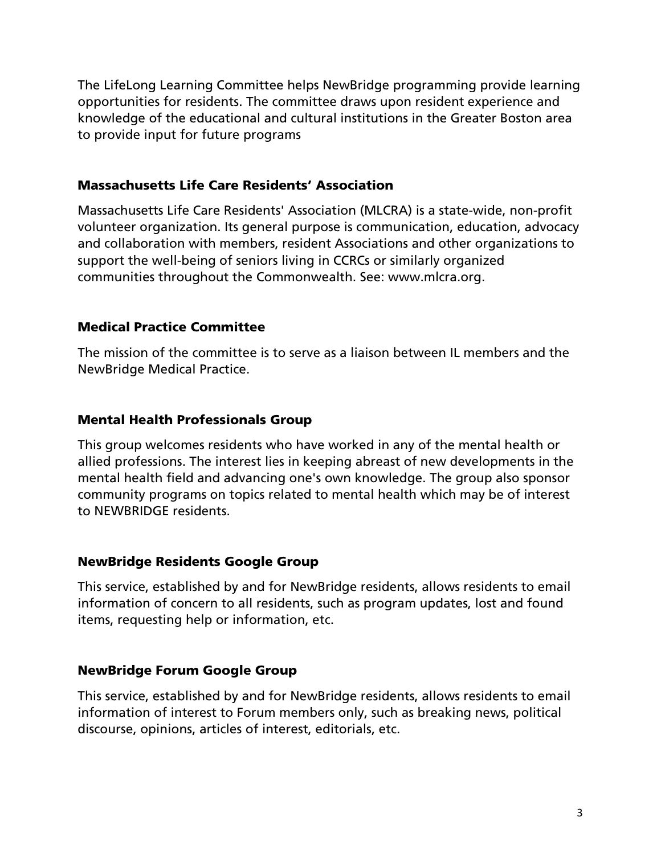The LifeLong Learning Committee helps NewBridge programming provide learning opportunities for residents. The committee draws upon resident experience and knowledge of the educational and cultural institutions in the Greater Boston area to provide input for future programs

## Massachusetts Life Care Residents' Association

Massachusetts Life Care Residents' Association (MLCRA) is a state-wide, non-profit volunteer organization. Its general purpose is communication, education, advocacy and collaboration with members, resident Associations and other organizations to support the well-being of seniors living in CCRCs or similarly organized communities throughout the Commonwealth. See: www.mlcra.org.

# Medical Practice Committee

The mission of the committee is to serve as a liaison between IL members and the NewBridge Medical Practice.

# Mental Health Professionals Group

This group welcomes residents who have worked in any of the mental health or allied professions. The interest lies in keeping abreast of new developments in the mental health field and advancing one's own knowledge. The group also sponsor community programs on topics related to mental health which may be of interest to NEWBRIDGE residents.

# NewBridge Residents Google Group

This service, established by and for NewBridge residents, allows residents to email information of concern to all residents, such as program updates, lost and found items, requesting help or information, etc.

# NewBridge Forum Google Group

This service, established by and for NewBridge residents, allows residents to email information of interest to Forum members only, such as breaking news, political discourse, opinions, articles of interest, editorials, etc.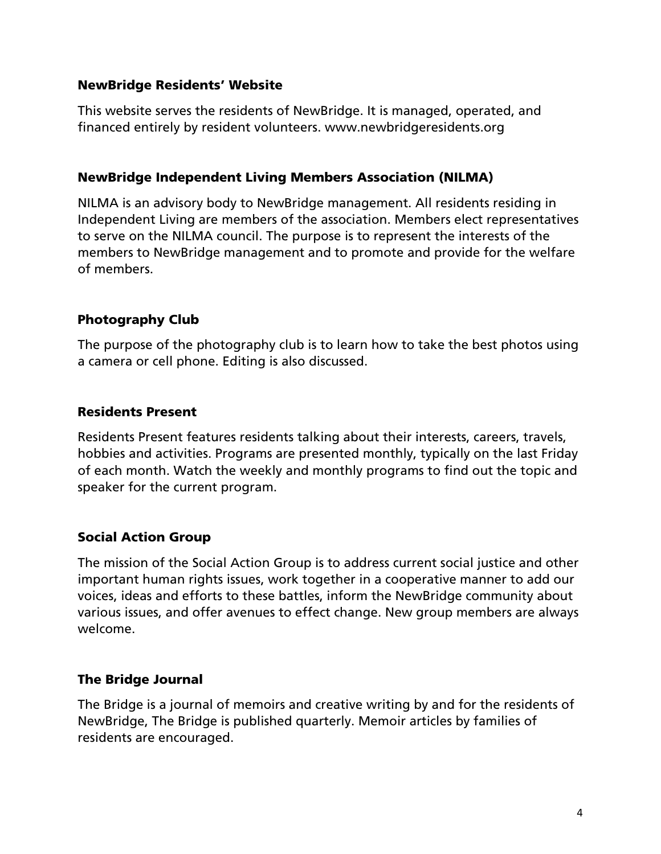#### NewBridge Residents' Website

This website serves the residents of NewBridge. It is managed, operated, and financed entirely by resident volunteers. www.newbridgeresidents.org

#### NewBridge Independent Living Members Association (NILMA)

NILMA is an advisory body to NewBridge management. All residents residing in Independent Living are members of the association. Members elect representatives to serve on the NILMA council. The purpose is to represent the interests of the members to NewBridge management and to promote and provide for the welfare of members.

## Photography Club

The purpose of the photography club is to learn how to take the best photos using a camera or cell phone. Editing is also discussed.

# Residents Present

Residents Present features residents talking about their interests, careers, travels, hobbies and activities. Programs are presented monthly, typically on the last Friday of each month. Watch the weekly and monthly programs to find out the topic and speaker for the current program.

## Social Action Group

The mission of the Social Action Group is to address current social justice and other important human rights issues, work together in a cooperative manner to add our voices, ideas and efforts to these battles, inform the NewBridge community about various issues, and offer avenues to effect change. New group members are always welcome.

## The Bridge Journal

The Bridge is a journal of memoirs and creative writing by and for the residents of NewBridge, The Bridge is published quarterly. Memoir articles by families of residents are encouraged.